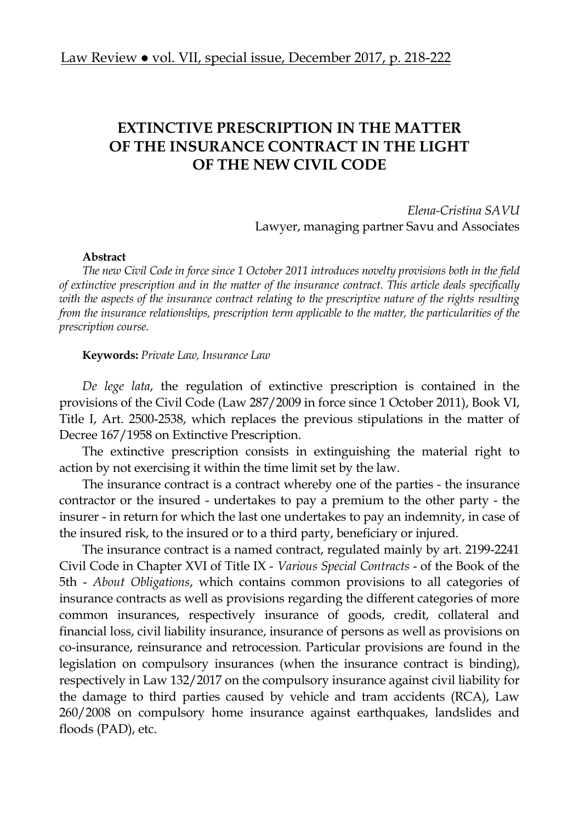## **EXTINCTIVE PRESCRIPTION IN THE MATTER OF THE INSURANCE CONTRACT IN THE LIGHT OF THE NEW CIVIL CODE**

*Elena-Cristina SAVU*  Lawyer, managing partner Savu and Associates

## **Abstract**

*The new Civil Code in force since 1 October 2011 introduces novelty provisions both in the field of extinctive prescription and in the matter of the insurance contract. This article deals specifically with the aspects of the insurance contract relating to the prescriptive nature of the rights resulting from the insurance relationships, prescription term applicable to the matter, the particularities of the prescription course.* 

## **Keywords:** *Private Law, Insurance Law*

*De lege lata*, the regulation of extinctive prescription is contained in the provisions of the Civil Code (Law 287/2009 in force since 1 October 2011), Book VI, Title I, Art. 2500-2538, which replaces the previous stipulations in the matter of Decree 167/1958 on Extinctive Prescription.

The extinctive prescription consists in extinguishing the material right to action by not exercising it within the time limit set by the law.

The insurance contract is a contract whereby one of the parties - the insurance contractor or the insured - undertakes to pay a premium to the other party - the insurer - in return for which the last one undertakes to pay an indemnity, in case of the insured risk, to the insured or to a third party, beneficiary or injured.

The insurance contract is a named contract, regulated mainly by art. 2199-2241 Civil Code in Chapter XVI of Title IX - *Various Special Contracts* - of the Book of the 5th - *About Obligations*, which contains common provisions to all categories of insurance contracts as well as provisions regarding the different categories of more common insurances, respectively insurance of goods, credit, collateral and financial loss, civil liability insurance, insurance of persons as well as provisions on co-insurance, reinsurance and retrocession. Particular provisions are found in the legislation on compulsory insurances (when the insurance contract is binding), respectively in Law 132/2017 on the compulsory insurance against civil liability for the damage to third parties caused by vehicle and tram accidents (RCA), Law 260/2008 on compulsory home insurance against earthquakes, landslides and floods (PAD), etc.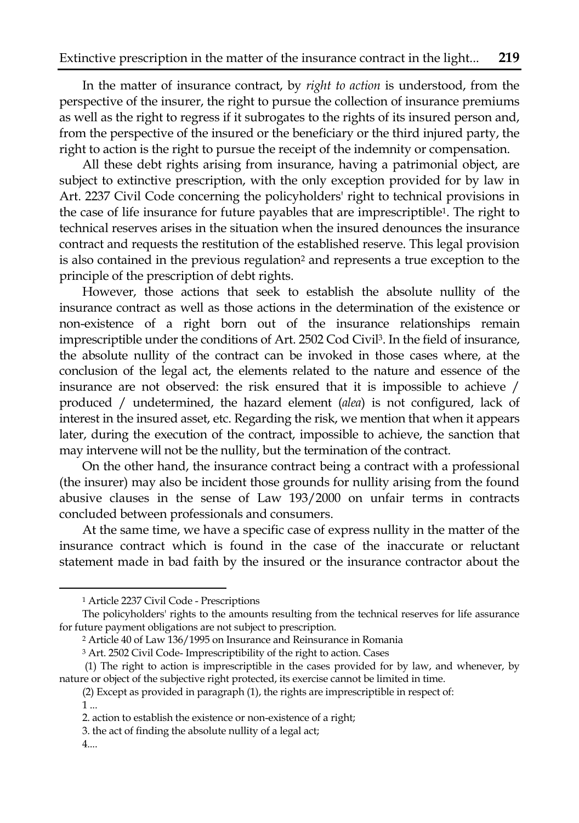In the matter of insurance contract, by *right to action* is understood, from the perspective of the insurer, the right to pursue the collection of insurance premiums as well as the right to regress if it subrogates to the rights of its insured person and, from the perspective of the insured or the beneficiary or the third injured party, the right to action is the right to pursue the receipt of the indemnity or compensation.

All these debt rights arising from insurance, having a patrimonial object, are subject to extinctive prescription, with the only exception provided for by law in Art. 2237 Civil Code concerning the policyholders' right to technical provisions in the case of life insurance for future payables that are imprescriptible1. The right to technical reserves arises in the situation when the insured denounces the insurance contract and requests the restitution of the established reserve. This legal provision is also contained in the previous regulation<sup>2</sup> and represents a true exception to the principle of the prescription of debt rights.

However, those actions that seek to establish the absolute nullity of the insurance contract as well as those actions in the determination of the existence or non-existence of a right born out of the insurance relationships remain imprescriptible under the conditions of Art. 2502 Cod Civil3. In the field of insurance, the absolute nullity of the contract can be invoked in those cases where, at the conclusion of the legal act, the elements related to the nature and essence of the insurance are not observed: the risk ensured that it is impossible to achieve / produced / undetermined, the hazard element (*alea*) is not configured, lack of interest in the insured asset, etc. Regarding the risk, we mention that when it appears later, during the execution of the contract, impossible to achieve, the sanction that may intervene will not be the nullity, but the termination of the contract.

On the other hand, the insurance contract being a contract with a professional (the insurer) may also be incident those grounds for nullity arising from the found abusive clauses in the sense of Law 193/2000 on unfair terms in contracts concluded between professionals and consumers.

At the same time, we have a specific case of express nullity in the matter of the insurance contract which is found in the case of the inaccurate or reluctant statement made in bad faith by the insured or the insurance contractor about the

 $\overline{\phantom{a}}$ 

4....

<sup>1</sup> Article 2237 Civil Code - Prescriptions

The policyholders' rights to the amounts resulting from the technical reserves for life assurance for future payment obligations are not subject to prescription.

<sup>2</sup> Article 40 of Law 136/1995 on Insurance and Reinsurance in Romania

<sup>3</sup> Art. 2502 Civil Code- Imprescriptibility of the right to action. Cases

 <sup>(1)</sup> The right to action is imprescriptible in the cases provided for by law, and whenever, by nature or object of the subjective right protected, its exercise cannot be limited in time.

<sup>(2)</sup> Except as provided in paragraph (1), the rights are imprescriptible in respect of:

<sup>1 ...</sup> 

<sup>2.</sup> action to establish the existence or non-existence of a right;

<sup>3.</sup> the act of finding the absolute nullity of a legal act;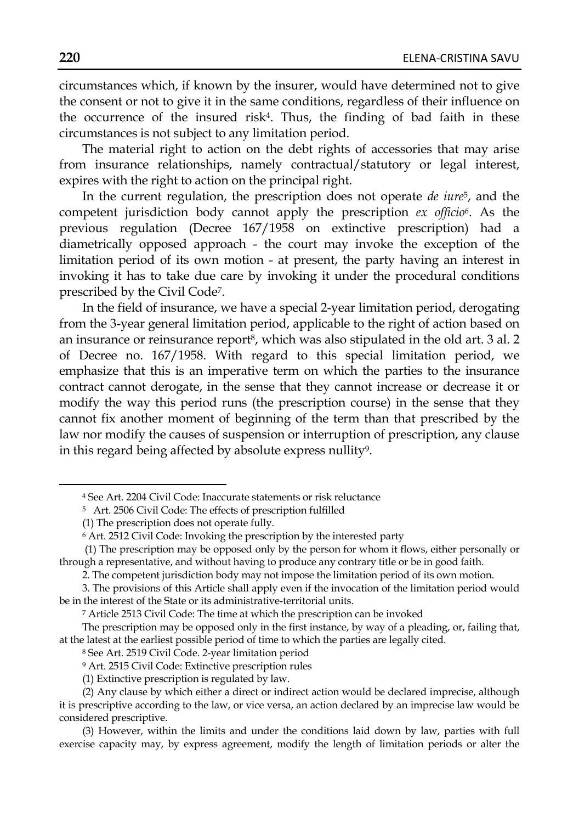circumstances which, if known by the insurer, would have determined not to give the consent or not to give it in the same conditions, regardless of their influence on the occurrence of the insured risk4. Thus, the finding of bad faith in these circumstances is not subject to any limitation period.

The material right to action on the debt rights of accessories that may arise from insurance relationships, namely contractual/statutory or legal interest, expires with the right to action on the principal right.

In the current regulation, the prescription does not operate *de iure*5, and the competent jurisdiction body cannot apply the prescription *ex officio6*. As the previous regulation (Decree 167/1958 on extinctive prescription) had a diametrically opposed approach - the court may invoke the exception of the limitation period of its own motion - at present, the party having an interest in invoking it has to take due care by invoking it under the procedural conditions prescribed by the Civil Code7.

In the field of insurance, we have a special 2-year limitation period, derogating from the 3-year general limitation period, applicable to the right of action based on an insurance or reinsurance report8, which was also stipulated in the old art. 3 al. 2 of Decree no. 167/1958. With regard to this special limitation period, we emphasize that this is an imperative term on which the parties to the insurance contract cannot derogate, in the sense that they cannot increase or decrease it or modify the way this period runs (the prescription course) in the sense that they cannot fix another moment of beginning of the term than that prescribed by the law nor modify the causes of suspension or interruption of prescription, any clause in this regard being affected by absolute express nullity<sup>9</sup>.

 $\overline{\phantom{a}}$ 

<sup>4</sup> See Art. 2204 Civil Code: Inaccurate statements or risk reluctance

<sup>5</sup> Art. 2506 Civil Code: The effects of prescription fulfilled

<sup>(1)</sup> The prescription does not operate fully.

<sup>6</sup> Art. 2512 Civil Code: Invoking the prescription by the interested party

 <sup>(1)</sup> The prescription may be opposed only by the person for whom it flows, either personally or through a representative, and without having to produce any contrary title or be in good faith.

<sup>2.</sup> The competent jurisdiction body may not impose the limitation period of its own motion.

<sup>3.</sup> The provisions of this Article shall apply even if the invocation of the limitation period would be in the interest of the State or its administrative-territorial units.

<sup>7</sup> Article 2513 Civil Code: The time at which the prescription can be invoked

The prescription may be opposed only in the first instance, by way of a pleading, or, failing that, at the latest at the earliest possible period of time to which the parties are legally cited.

<sup>8</sup> See Art. 2519 Civil Code. 2-year limitation period

<sup>9</sup> Art. 2515 Civil Code: Extinctive prescription rules

<sup>(1)</sup> Extinctive prescription is regulated by law.

<sup>(2)</sup> Any clause by which either a direct or indirect action would be declared imprecise, although it is prescriptive according to the law, or vice versa, an action declared by an imprecise law would be considered prescriptive.

<sup>(3)</sup> However, within the limits and under the conditions laid down by law, parties with full exercise capacity may, by express agreement, modify the length of limitation periods or alter the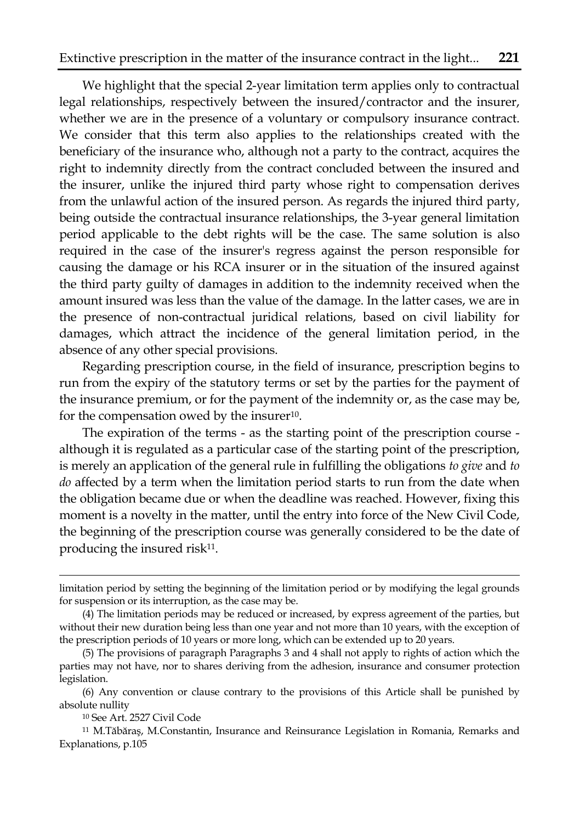We highlight that the special 2-year limitation term applies only to contractual legal relationships, respectively between the insured/contractor and the insurer, whether we are in the presence of a voluntary or compulsory insurance contract. We consider that this term also applies to the relationships created with the beneficiary of the insurance who, although not a party to the contract, acquires the right to indemnity directly from the contract concluded between the insured and the insurer, unlike the injured third party whose right to compensation derives from the unlawful action of the insured person. As regards the injured third party, being outside the contractual insurance relationships, the 3-year general limitation period applicable to the debt rights will be the case. The same solution is also required in the case of the insurer's regress against the person responsible for causing the damage or his RCA insurer or in the situation of the insured against the third party guilty of damages in addition to the indemnity received when the amount insured was less than the value of the damage. In the latter cases, we are in the presence of non-contractual juridical relations, based on civil liability for damages, which attract the incidence of the general limitation period, in the absence of any other special provisions.

Regarding prescription course, in the field of insurance, prescription begins to run from the expiry of the statutory terms or set by the parties for the payment of the insurance premium, or for the payment of the indemnity or, as the case may be, for the compensation owed by the insurer<sup>10</sup>.

The expiration of the terms - as the starting point of the prescription course although it is regulated as a particular case of the starting point of the prescription, is merely an application of the general rule in fulfilling the obligations *to give* and *to do* affected by a term when the limitation period starts to run from the date when the obligation became due or when the deadline was reached. However, fixing this moment is a novelty in the matter, until the entry into force of the New Civil Code, the beginning of the prescription course was generally considered to be the date of producing the insured risk<sup>11</sup>.

 $\overline{\phantom{a}}$ 

limitation period by setting the beginning of the limitation period or by modifying the legal grounds for suspension or its interruption, as the case may be.

<sup>(4)</sup> The limitation periods may be reduced or increased, by express agreement of the parties, but without their new duration being less than one year and not more than 10 years, with the exception of the prescription periods of 10 years or more long, which can be extended up to 20 years.

<sup>(5)</sup> The provisions of paragraph Paragraphs 3 and 4 shall not apply to rights of action which the parties may not have, nor to shares deriving from the adhesion, insurance and consumer protection legislation.

<sup>(6)</sup> Any convention or clause contrary to the provisions of this Article shall be punished by absolute nullity

<sup>10</sup> See Art. 2527 Civil Code

<sup>11</sup> M.Tăbăraş, M.Constantin, Insurance and Reinsurance Legislation in Romania, Remarks and Explanations, p.105